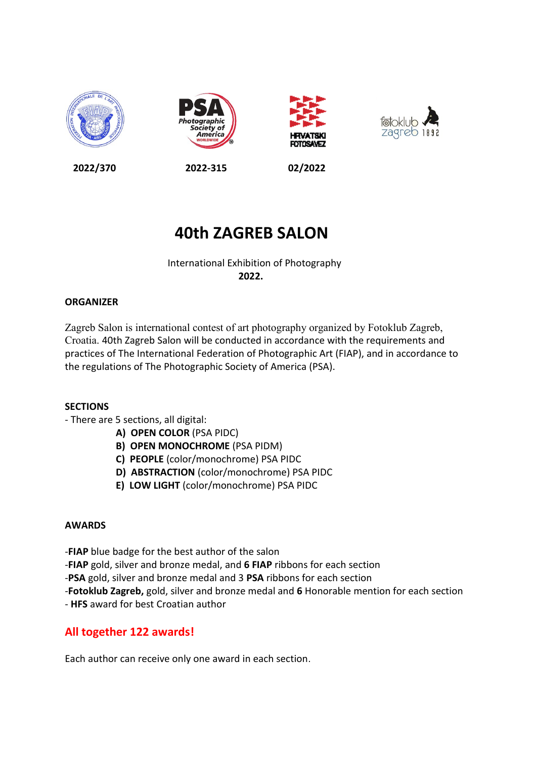







**2022/370 2022-315 02/2022**

# **40th ZAGREB SALON**

# International Exhibition of Photography  $2022.$

# **ORGANIZER**

Zagreb Salon is international contest of art photography organized by Fotoklub Zagreb, Croatia. 40th Zagreb Salon will be conducted in accordance with the requirements and practices of The International Federation of Photographic Art (FIAP), and in accordance to the regulations of The Photographic Society of America (PSA).

# **SECTIONS**

- There are 5 sections, all digital:
	- **A) OPEN COLOR** (PSA PIDC)
	- **B) OPEN MONOCHROME** (PSA PIDM)
	- **C) PEOPLE** (color/monochrome) PSA PIDC
	- **D) ABSTRACTION** (color/monochrome) PSA PIDC
	- **E) LOW LIGHT** (color/monochrome) PSA PIDC

# **AWARDS**

- -**FIAP** blue badge for the best author of the salon
- -**FIAP** gold, silver and bronze medal, and **6 FIAP** ribbons for each section
- -**PSA** gold, silver and bronze medal and 3 **PSA** ribbons for each section
- -**Fotoklub Zagreb,** gold, silver and bronze medal and **6** Honorable mention for each section
- **HFS** award for best Croatian author

# **All together 122 awards!**

Each author can receive only one award in each section.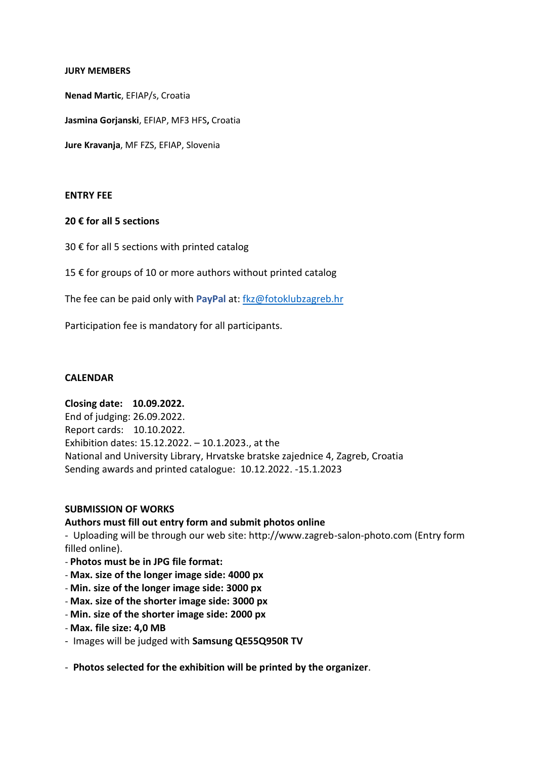#### **JURY MEMBERS**

**Nenad Martic**, EFIAP/s, Croatia

**Jasmina Gorjanski**, EFIAP, MF3 HFS**,** Croatia

**Jure Kravanja**, MF FZS, EFIAP, Slovenia

#### **ENTRY FEE**

### **20 € for all 5 sections**

30 € for all 5 sections with printed catalog

15 € for groups of 10 or more authors without printed catalog

The fee can be paid only with **PayPal** at: [fkz@fotoklubzagreb.hr](file:///C:/Users/zvonk/Desktop/40%20Zagreb%20Salon/fkz@fotoklubzagreb.hr)

Participation fee is mandatory for all participants.

#### **CALENDAR**

### **Closing date: 10.09.2022.**

End of judging: 26.09.2022. Report cards: 10.10.2022. Exhibition dates: 15.12.2022. – 10.1.2023., at the National and University Library, Hrvatske bratske zajednice 4, Zagreb, Croatia Sending awards and printed catalogue: 10.12.2022. -15.1.2023

#### **SUBMISSION OF WORKS**

#### **Authors must fill out entry form and submit photos online**

- Uploading will be through our web site: http://www.zagreb-salon-photo.com (Entry form filled online).

- **Photos must be in JPG file format:**
- **Max. size of the longer image side: 4000 px**
- **Min. size of the longer image side: 3000 px**
- **Max. size of the shorter image side: 3000 px**
- **Min. size of the shorter image side: 2000 px**
- **Max. file size: 4,0 MB**
- Images will be judged with **Samsung QE55Q950R TV**

- **Photos selected for the exhibition will be printed by the organizer**.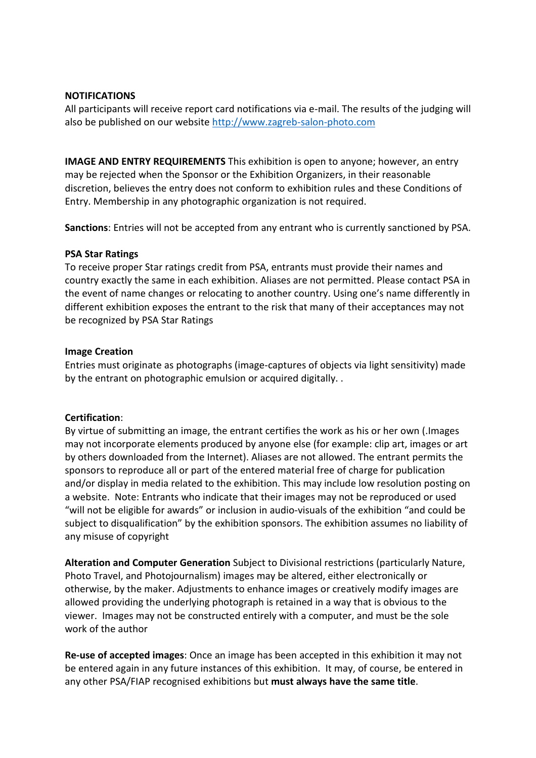# **NOTIFICATIONS**

All participants will receive report card notifications via e-mail. The results of the judging will also be published on our website [http://www.zagreb-salon-photo.com](http://www.zagreb-salon-photo.com/)

**IMAGE AND ENTRY REQUIREMENTS** This exhibition is open to anyone; however, an entry may be rejected when the Sponsor or the Exhibition Organizers, in their reasonable discretion, believes the entry does not conform to exhibition rules and these Conditions of Entry. Membership in any photographic organization is not required.

**Sanctions**: Entries will not be accepted from any entrant who is currently sanctioned by PSA.

### **PSA Star Ratings**

To receive proper Star ratings credit from PSA, entrants must provide their names and country exactly the same in each exhibition. Aliases are not permitted. Please contact PSA in the event of name changes or relocating to another country. Using one's name differently in different exhibition exposes the entrant to the risk that many of their acceptances may not be recognized by PSA Star Ratings

### **Image Creation**

Entries must originate as photographs (image-captures of objects via light sensitivity) made by the entrant on photographic emulsion or acquired digitally. .

# **Certification**:

By virtue of submitting an image, the entrant certifies the work as his or her own (.Images may not incorporate elements produced by anyone else (for example: clip art, images or art by others downloaded from the Internet). Aliases are not allowed. The entrant permits the sponsors to reproduce all or part of the entered material free of charge for publication and/or display in media related to the exhibition. This may include low resolution posting on a website. Note: Entrants who indicate that their images may not be reproduced or used "will not be eligible for awards" or inclusion in audio-visuals of the exhibition "and could be subject to disqualification" by the exhibition sponsors. The exhibition assumes no liability of any misuse of copyright

**Alteration and Computer Generation** Subject to Divisional restrictions (particularly Nature, Photo Travel, and Photojournalism) images may be altered, either electronically or otherwise, by the maker. Adjustments to enhance images or creatively modify images are allowed providing the underlying photograph is retained in a way that is obvious to the viewer. Images may not be constructed entirely with a computer, and must be the sole work of the author

**Re-use of accepted images**: Once an image has been accepted in this exhibition it may not be entered again in any future instances of this exhibition. It may, of course, be entered in any other PSA/FIAP recognised exhibitions but **must always have the same title**.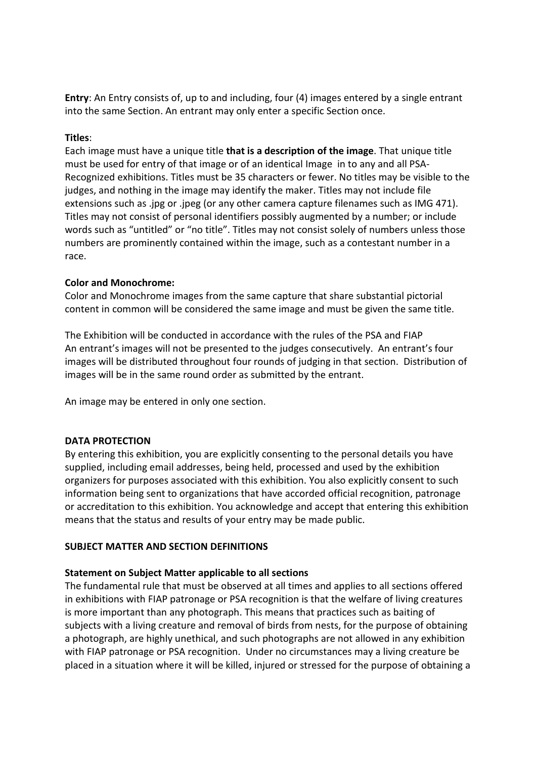**Entry**: An Entry consists of, up to and including, four (4) images entered by a single entrant into the same Section. An entrant may only enter a specific Section once.

# **Titles**:

Each image must have a unique title **that is a description of the image**. That unique title must be used for entry of that image or of an identical Image in to any and all PSA-Recognized exhibitions. Titles must be 35 characters or fewer. No titles may be visible to the judges, and nothing in the image may identify the maker. Titles may not include file extensions such as .jpg or .jpeg (or any other camera capture filenames such as IMG 471). Titles may not consist of personal identifiers possibly augmented by a number; or include words such as "untitled" or "no title". Titles may not consist solely of numbers unless those numbers are prominently contained within the image, such as a contestant number in a race.

# **Color and Monochrome:**

Color and Monochrome images from the same capture that share substantial pictorial content in common will be considered the same image and must be given the same title.

The Exhibition will be conducted in accordance with the rules of the PSA and FIAP An entrant's images will not be presented to the judges consecutively. An entrant's four images will be distributed throughout four rounds of judging in that section. Distribution of images will be in the same round order as submitted by the entrant.

An image may be entered in only one section.

#### **DATA PROTECTION**

By entering this exhibition, you are explicitly consenting to the personal details you have supplied, including email addresses, being held, processed and used by the exhibition organizers for purposes associated with this exhibition. You also explicitly consent to such information being sent to organizations that have accorded official recognition, patronage or accreditation to this exhibition. You acknowledge and accept that entering this exhibition means that the status and results of your entry may be made public.

#### **SUBJECT MATTER AND SECTION DEFINITIONS**

#### **Statement on Subject Matter applicable to all sections**

The fundamental rule that must be observed at all times and applies to all sections offered in exhibitions with FIAP patronage or PSA recognition is that the welfare of living creatures is more important than any photograph. This means that practices such as baiting of subjects with a living creature and removal of birds from nests, for the purpose of obtaining a photograph, are highly unethical, and such photographs are not allowed in any exhibition with FIAP patronage or PSA recognition. Under no circumstances may a living creature be placed in a situation where it will be killed, injured or stressed for the purpose of obtaining a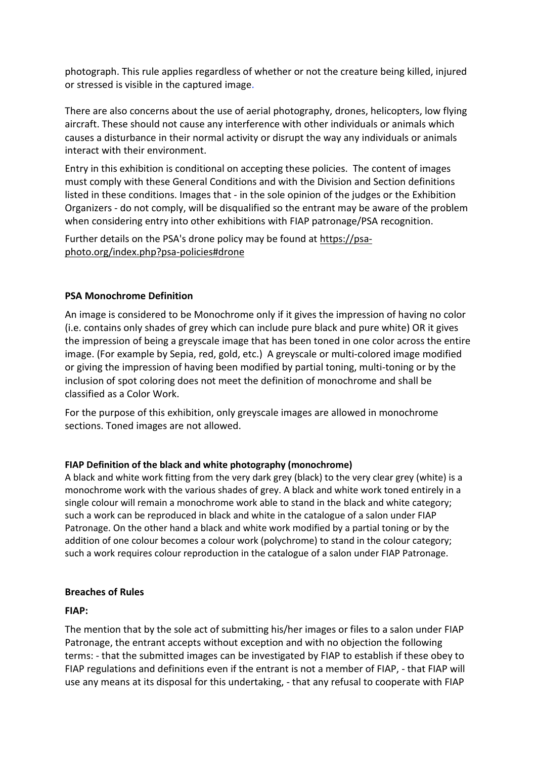photograph. This rule applies regardless of whether or not the creature being killed, injured or stressed is visible in the captured image.

There are also concerns about the use of aerial photography, drones, helicopters, low flying aircraft. These should not cause any interference with other individuals or animals which causes a disturbance in their normal activity or disrupt the way any individuals or animals interact with their environment.

Entry in this exhibition is conditional on accepting these policies. The content of images must comply with these General Conditions and with the Division and Section definitions listed in these conditions. Images that - in the sole opinion of the judges or the Exhibition Organizers - do not comply, will be disqualified so the entrant may be aware of the problem when considering entry into other exhibitions with FIAP patronage/PSA recognition.

Further details on the PSA's drone policy may be found at [https://psa](https://psa-photo.org/index.php?psa-policies%23drone)[photo.org/index.php?psa-policies#drone](https://psa-photo.org/index.php?psa-policies%23drone)

# **PSA Monochrome Definition**

An image is considered to be Monochrome only if it gives the impression of having no color (i.e. contains only shades of grey which can include pure black and pure white) OR it gives the impression of being a greyscale image that has been toned in one color across the entire image. (For example by Sepia, red, gold, etc.) A greyscale or multi-colored image modified or giving the impression of having been modified by partial toning, multi-toning or by the inclusion of spot coloring does not meet the definition of monochrome and shall be classified as a Color Work.

For the purpose of this exhibition, only greyscale images are allowed in monochrome sections. Toned images are not allowed.

# **FIAP Definition of the black and white photography (monochrome)**

A black and white work fitting from the very dark grey (black) to the very clear grey (white) is a monochrome work with the various shades of grey. A black and white work toned entirely in a single colour will remain a monochrome work able to stand in the black and white category; such a work can be reproduced in black and white in the catalogue of a salon under FIAP Patronage. On the other hand a black and white work modified by a partial toning or by the addition of one colour becomes a colour work (polychrome) to stand in the colour category; such a work requires colour reproduction in the catalogue of a salon under FIAP Patronage.

# **Breaches of Rules**

# **FIAP:**

The mention that by the sole act of submitting his/her images or files to a salon under FIAP Patronage, the entrant accepts without exception and with no objection the following terms: - that the submitted images can be investigated by FIAP to establish if these obey to FIAP regulations and definitions even if the entrant is not a member of FIAP, - that FIAP will use any means at its disposal for this undertaking, - that any refusal to cooperate with FIAP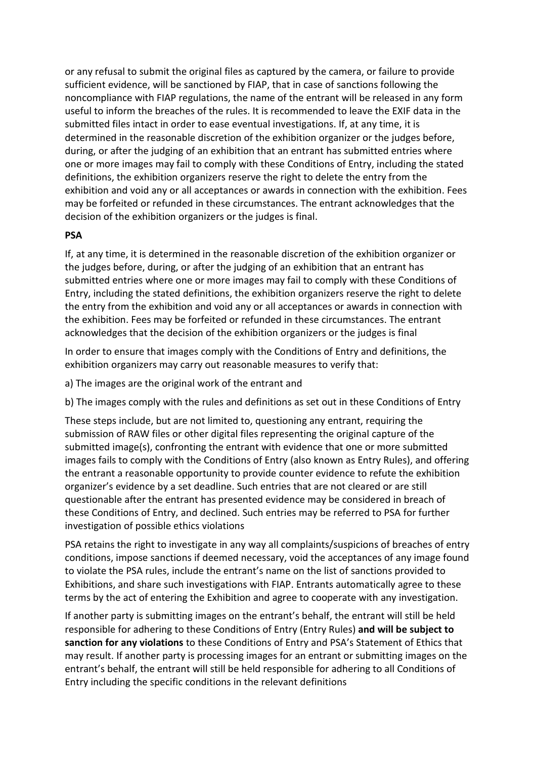or any refusal to submit the original files as captured by the camera, or failure to provide sufficient evidence, will be sanctioned by FIAP, that in case of sanctions following the noncompliance with FIAP regulations, the name of the entrant will be released in any form useful to inform the breaches of the rules. It is recommended to leave the EXIF data in the submitted files intact in order to ease eventual investigations. If, at any time, it is determined in the reasonable discretion of the exhibition organizer or the judges before, during, or after the judging of an exhibition that an entrant has submitted entries where one or more images may fail to comply with these Conditions of Entry, including the stated definitions, the exhibition organizers reserve the right to delete the entry from the exhibition and void any or all acceptances or awards in connection with the exhibition. Fees may be forfeited or refunded in these circumstances. The entrant acknowledges that the decision of the exhibition organizers or the judges is final.

# **PSA**

If, at any time, it is determined in the reasonable discretion of the exhibition organizer or the judges before, during, or after the judging of an exhibition that an entrant has submitted entries where one or more images may fail to comply with these Conditions of Entry, including the stated definitions, the exhibition organizers reserve the right to delete the entry from the exhibition and void any or all acceptances or awards in connection with the exhibition. Fees may be forfeited or refunded in these circumstances. The entrant acknowledges that the decision of the exhibition organizers or the judges is final

In order to ensure that images comply with the Conditions of Entry and definitions, the exhibition organizers may carry out reasonable measures to verify that:

a) The images are the original work of the entrant and

b) The images comply with the rules and definitions as set out in these Conditions of Entry

These steps include, but are not limited to, questioning any entrant, requiring the submission of RAW files or other digital files representing the original capture of the submitted image(s), confronting the entrant with evidence that one or more submitted images fails to comply with the Conditions of Entry (also known as Entry Rules), and offering the entrant a reasonable opportunity to provide counter evidence to refute the exhibition organizer's evidence by a set deadline. Such entries that are not cleared or are still questionable after the entrant has presented evidence may be considered in breach of these Conditions of Entry, and declined. Such entries may be referred to PSA for further investigation of possible ethics violations

PSA retains the right to investigate in any way all complaints/suspicions of breaches of entry conditions, impose sanctions if deemed necessary, void the acceptances of any image found to violate the PSA rules, include the entrant's name on the list of sanctions provided to Exhibitions, and share such investigations with FIAP. Entrants automatically agree to these terms by the act of entering the Exhibition and agree to cooperate with any investigation.

If another party is submitting images on the entrant's behalf, the entrant will still be held responsible for adhering to these Conditions of Entry (Entry Rules) **and will be subject to sanction for any violations** to these Conditions of Entry and PSA's Statement of Ethics that may result. If another party is processing images for an entrant or submitting images on the entrant's behalf, the entrant will still be held responsible for adhering to all Conditions of Entry including the specific conditions in the relevant definitions